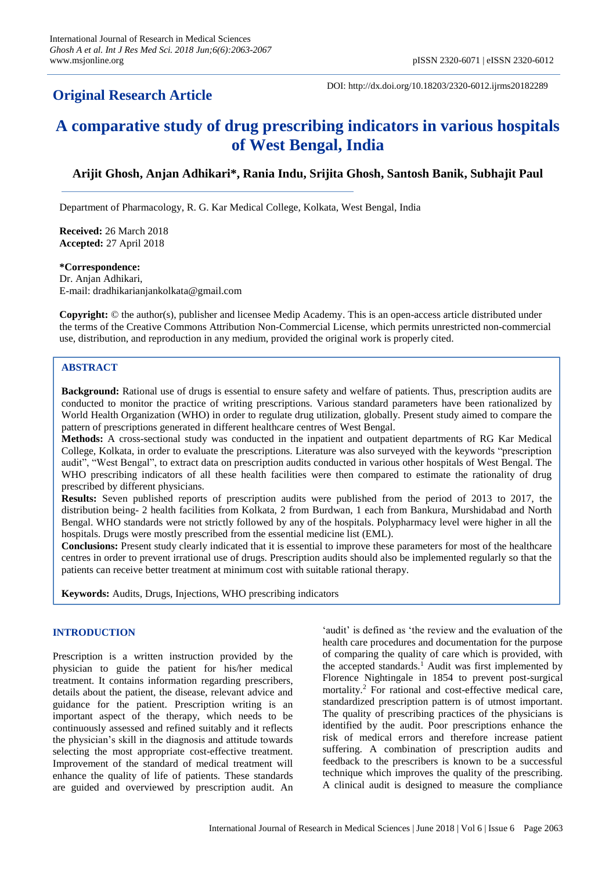# **Original Research Article**

DOI: http://dx.doi.org/10.18203/2320-6012.ijrms20182289

# **A comparative study of drug prescribing indicators in various hospitals of West Bengal, India**

# **Arijit Ghosh, Anjan Adhikari\*, Rania Indu, Srijita Ghosh, Santosh Banik, Subhajit Paul**

Department of Pharmacology, R. G. Kar Medical College, Kolkata, West Bengal, India

**Received:** 26 March 2018 **Accepted:** 27 April 2018

**\*Correspondence:** Dr. Anjan Adhikari, E-mail: dradhikarianjankolkata@gmail.com

**Copyright:** © the author(s), publisher and licensee Medip Academy. This is an open-access article distributed under the terms of the Creative Commons Attribution Non-Commercial License, which permits unrestricted non-commercial use, distribution, and reproduction in any medium, provided the original work is properly cited.

# **ABSTRACT**

**Background:** Rational use of drugs is essential to ensure safety and welfare of patients. Thus, prescription audits are conducted to monitor the practice of writing prescriptions. Various standard parameters have been rationalized by World Health Organization (WHO) in order to regulate drug utilization, globally. Present study aimed to compare the pattern of prescriptions generated in different healthcare centres of West Bengal.

**Methods:** A cross-sectional study was conducted in the inpatient and outpatient departments of RG Kar Medical College, Kolkata, in order to evaluate the prescriptions. Literature was also surveyed with the keywords "prescription audit", "West Bengal", to extract data on prescription audits conducted in various other hospitals of West Bengal. The WHO prescribing indicators of all these health facilities were then compared to estimate the rationality of drug prescribed by different physicians.

**Results:** Seven published reports of prescription audits were published from the period of 2013 to 2017, the distribution being- 2 health facilities from Kolkata, 2 from Burdwan, 1 each from Bankura, Murshidabad and North Bengal. WHO standards were not strictly followed by any of the hospitals. Polypharmacy level were higher in all the hospitals. Drugs were mostly prescribed from the essential medicine list (EML).

**Conclusions:** Present study clearly indicated that it is essential to improve these parameters for most of the healthcare centres in order to prevent irrational use of drugs. Prescription audits should also be implemented regularly so that the patients can receive better treatment at minimum cost with suitable rational therapy.

**Keywords:** Audits, Drugs, Injections, WHO prescribing indicators

## **INTRODUCTION**

Prescription is a written instruction provided by the physician to guide the patient for his/her medical treatment. It contains information regarding prescribers, details about the patient, the disease, relevant advice and guidance for the patient. Prescription writing is an important aspect of the therapy, which needs to be continuously assessed and refined suitably and it reflects the physician's skill in the diagnosis and attitude towards selecting the most appropriate cost-effective treatment. Improvement of the standard of medical treatment will enhance the quality of life of patients. These standards are guided and overviewed by prescription audit. An 'audit' is defined as 'the review and the evaluation of the health care procedures and documentation for the purpose of comparing the quality of care which is provided, with the accepted standards.<sup>1</sup> Audit was first implemented by Florence Nightingale in 1854 to prevent post-surgical mortality.<sup>2</sup> For rational and cost-effective medical care, standardized prescription pattern is of utmost important. The quality of prescribing practices of the physicians is identified by the audit. Poor prescriptions enhance the risk of medical errors and therefore increase patient suffering. A combination of prescription audits and feedback to the prescribers is known to be a successful technique which improves the quality of the prescribing. A clinical audit is designed to measure the compliance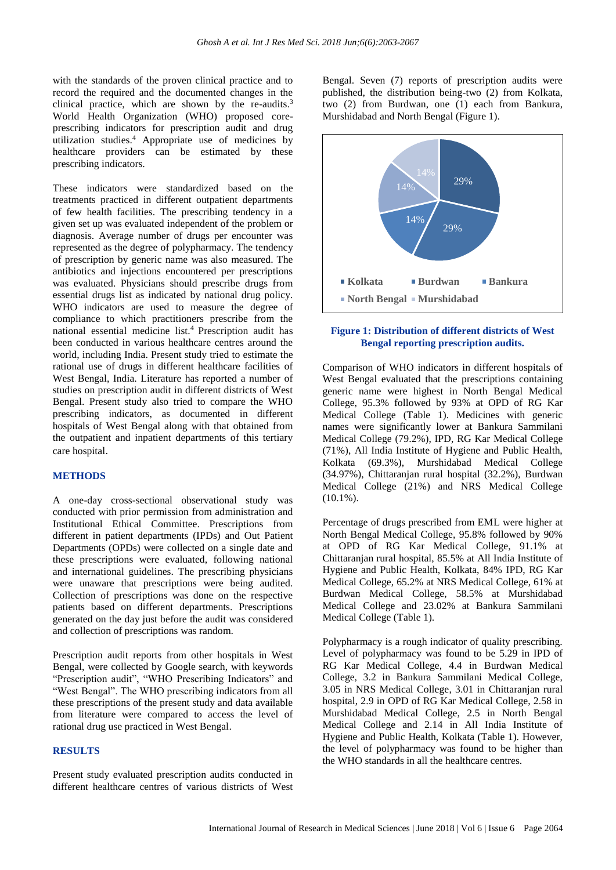with the standards of the proven clinical practice and to record the required and the documented changes in the clinical practice, which are shown by the re-audits.<sup>3</sup> World Health Organization (WHO) proposed coreprescribing indicators for prescription audit and drug utilization studies.<sup>4</sup> Appropriate use of medicines by healthcare providers can be estimated by these prescribing indicators.

These indicators were standardized based on the treatments practiced in different outpatient departments of few health facilities. The prescribing tendency in a given set up was evaluated independent of the problem or diagnosis. Average number of drugs per encounter was represented as the degree of polypharmacy. The tendency of prescription by generic name was also measured. The antibiotics and injections encountered per prescriptions was evaluated. Physicians should prescribe drugs from essential drugs list as indicated by national drug policy. WHO indicators are used to measure the degree of compliance to which practitioners prescribe from the national essential medicine list.<sup>4</sup> Prescription audit has been conducted in various healthcare centres around the world, including India. Present study tried to estimate the rational use of drugs in different healthcare facilities of West Bengal, India. Literature has reported a number of studies on prescription audit in different districts of West Bengal. Present study also tried to compare the WHO prescribing indicators, as documented in different hospitals of West Bengal along with that obtained from the outpatient and inpatient departments of this tertiary care hospital.

#### **METHODS**

A one-day cross-sectional observational study was conducted with prior permission from administration and Institutional Ethical Committee. Prescriptions from different in patient departments (IPDs) and Out Patient Departments (OPDs) were collected on a single date and these prescriptions were evaluated, following national and international guidelines. The prescribing physicians were unaware that prescriptions were being audited. Collection of prescriptions was done on the respective patients based on different departments. Prescriptions generated on the day just before the audit was considered and collection of prescriptions was random.

Prescription audit reports from other hospitals in West Bengal, were collected by Google search, with keywords "Prescription audit", "WHO Prescribing Indicators" and "West Bengal". The WHO prescribing indicators from all these prescriptions of the present study and data available from literature were compared to access the level of rational drug use practiced in West Bengal.

# **RESULTS**

Present study evaluated prescription audits conducted in different healthcare centres of various districts of West Bengal. Seven (7) reports of prescription audits were published, the distribution being-two (2) from Kolkata, two (2) from Burdwan, one (1) each from Bankura, Murshidabad and North Bengal (Figure 1).



#### **Figure 1: Distribution of different districts of West Bengal reporting prescription audits.**

Comparison of WHO indicators in different hospitals of West Bengal evaluated that the prescriptions containing generic name were highest in North Bengal Medical College, 95.3% followed by 93% at OPD of RG Kar Medical College (Table 1). Medicines with generic names were significantly lower at Bankura Sammilani Medical College (79.2%), IPD, RG Kar Medical College (71%), All India Institute of Hygiene and Public Health, Kolkata (69.3%), Murshidabad Medical College (34.97%), Chittaranjan rural hospital (32.2%), Burdwan Medical College (21%) and NRS Medical College  $(10.1\%)$ .

Percentage of drugs prescribed from EML were higher at North Bengal Medical College, 95.8% followed by 90% at OPD of RG Kar Medical College, 91.1% at Chittaranjan rural hospital, 85.5% at All India Institute of Hygiene and Public Health, Kolkata, 84% IPD, RG Kar Medical College, 65.2% at NRS Medical College, 61% at Burdwan Medical College, 58.5% at Murshidabad Medical College and 23.02% at Bankura Sammilani Medical College (Table 1).

Polypharmacy is a rough indicator of quality prescribing. Level of polypharmacy was found to be 5.29 in IPD of RG Kar Medical College, 4.4 in Burdwan Medical College, 3.2 in Bankura Sammilani Medical College, 3.05 in NRS Medical College, 3.01 in Chittaranjan rural hospital, 2.9 in OPD of RG Kar Medical College, 2.58 in Murshidabad Medical College, 2.5 in North Bengal Medical College and 2.14 in All India Institute of Hygiene and Public Health, Kolkata (Table 1). However, the level of polypharmacy was found to be higher than the WHO standards in all the healthcare centres.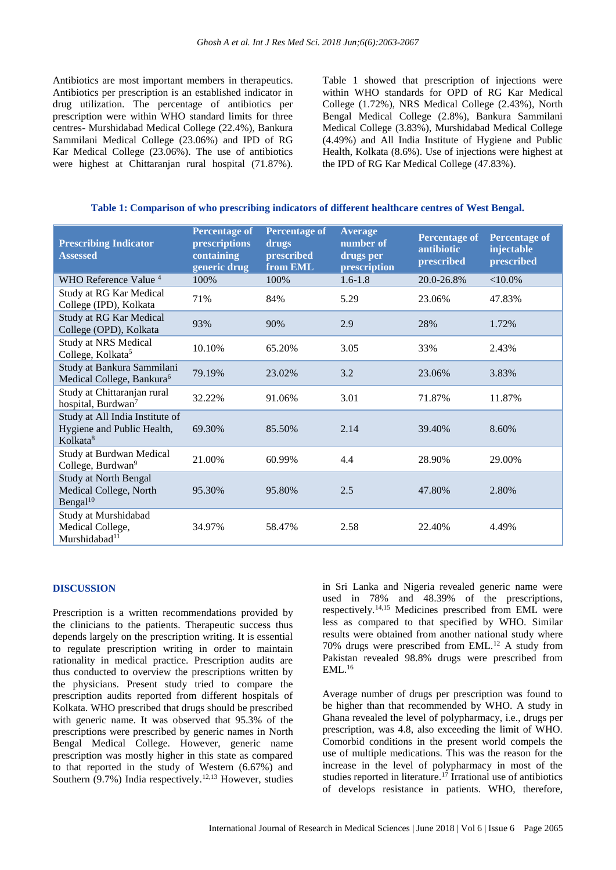Antibiotics are most important members in therapeutics. Antibiotics per prescription is an established indicator in drug utilization. The percentage of antibiotics per prescription were within WHO standard limits for three centres- Murshidabad Medical College (22.4%), Bankura Sammilani Medical College (23.06%) and IPD of RG Kar Medical College (23.06%). The use of antibiotics were highest at Chittaranjan rural hospital (71.87%). Table 1 showed that prescription of injections were within WHO standards for OPD of RG Kar Medical College (1.72%), NRS Medical College (2.43%), North Bengal Medical College (2.8%), Bankura Sammilani Medical College (3.83%), Murshidabad Medical College (4.49%) and All India Institute of Hygiene and Public Health, Kolkata (8.6%). Use of injections were highest at the IPD of RG Kar Medical College (47.83%).

| Table 1: Comparison of who prescribing indicators of different healthcare centres of West Bengal. |  |  |  |  |
|---------------------------------------------------------------------------------------------------|--|--|--|--|
|                                                                                                   |  |  |  |  |

| <b>Prescribing Indicator</b><br><b>Assessed</b>                                       | <b>Percentage of</b><br>prescriptions<br>containing<br>generic drug | <b>Percentage of</b><br>drugs<br>prescribed<br>from EML | <b>Average</b><br>number of<br>drugs per<br>prescription | <b>Percentage of</b><br>antibiotic<br>prescribed | <b>Percentage of</b><br>injectable<br>prescribed |
|---------------------------------------------------------------------------------------|---------------------------------------------------------------------|---------------------------------------------------------|----------------------------------------------------------|--------------------------------------------------|--------------------------------------------------|
| WHO Reference Value <sup>4</sup>                                                      | 100%                                                                | 100%                                                    | $1.6 - 1.8$                                              | 20.0-26.8%                                       | ${<}10.0\%$                                      |
| Study at RG Kar Medical<br>College (IPD), Kolkata                                     | 71%                                                                 | 84%                                                     | 5.29                                                     | 23.06%                                           | 47.83%                                           |
| Study at RG Kar Medical<br>College (OPD), Kolkata                                     | 93%                                                                 | 90%                                                     | 2.9                                                      | 28%                                              | 1.72%                                            |
| <b>Study at NRS Medical</b><br>College, Kolkata <sup>5</sup>                          | 10.10%                                                              | 65.20%                                                  | 3.05                                                     | 33%                                              | 2.43%                                            |
| Study at Bankura Sammilani<br>Medical College, Bankura <sup>6</sup>                   | 79.19%                                                              | 23.02%                                                  | 3.2                                                      | 23.06%                                           | 3.83%                                            |
| Study at Chittaranjan rural<br>hospital, Burdwan <sup>7</sup>                         | 32.22%                                                              | 91.06%                                                  | 3.01                                                     | 71.87%                                           | 11.87%                                           |
| Study at All India Institute of<br>Hygiene and Public Health,<br>Kolkata <sup>8</sup> | 69.30%                                                              | 85.50%                                                  | 2.14                                                     | 39.40%                                           | 8.60%                                            |
| Study at Burdwan Medical<br>College, Burdwan <sup>9</sup>                             | 21.00%                                                              | 60.99%                                                  | 4.4                                                      | 28.90%                                           | 29.00%                                           |
| <b>Study at North Bengal</b><br>Medical College, North<br>Bengal $10$                 | 95.30%                                                              | 95.80%                                                  | 2.5                                                      | 47.80%                                           | 2.80%                                            |
| Study at Murshidabad<br>Medical College,<br>Murshidabad <sup>11</sup>                 | 34.97%                                                              | 58.47%                                                  | 2.58                                                     | 22.40%                                           | 4.49%                                            |

#### **DISCUSSION**

Prescription is a written recommendations provided by the clinicians to the patients. Therapeutic success thus depends largely on the prescription writing. It is essential to regulate prescription writing in order to maintain rationality in medical practice. Prescription audits are thus conducted to overview the prescriptions written by the physicians. Present study tried to compare the prescription audits reported from different hospitals of Kolkata. WHO prescribed that drugs should be prescribed with generic name. It was observed that 95.3% of the prescriptions were prescribed by generic names in North Bengal Medical College. However, generic name prescription was mostly higher in this state as compared to that reported in the study of Western (6.67%) and Southern  $(9.7%)$  India respectively.<sup>12,13</sup> However, studies in Sri Lanka and Nigeria revealed generic name were used in 78% and 48.39% of the prescriptions, respectively.14,15 Medicines prescribed from EML were less as compared to that specified by WHO. Similar results were obtained from another national study where 70% drugs were prescribed from EML.<sup>12</sup> A study from Pakistan revealed 98.8% drugs were prescribed from  $EML<sup>16</sup>$ 

Average number of drugs per prescription was found to be higher than that recommended by WHO. A study in Ghana revealed the level of polypharmacy, i.e., drugs per prescription, was 4.8, also exceeding the limit of WHO. Comorbid conditions in the present world compels the use of multiple medications. This was the reason for the increase in the level of polypharmacy in most of the studies reported in literature.<sup>17</sup> Irrational use of antibiotics of develops resistance in patients. WHO, therefore,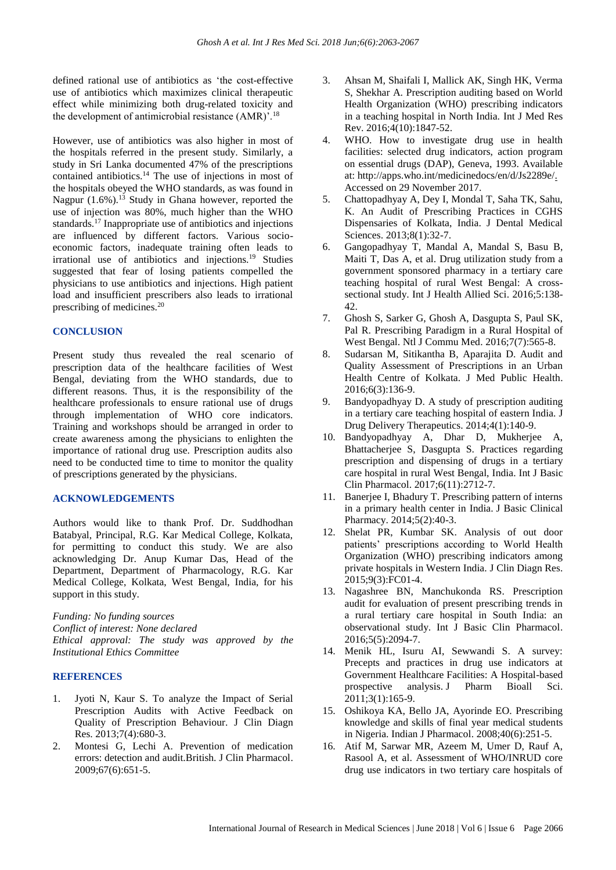defined rational use of antibiotics as 'the cost-effective use of antibiotics which maximizes clinical therapeutic effect while minimizing both drug-related toxicity and the development of antimicrobial resistance (AMR)'.<sup>18</sup>

However, use of antibiotics was also higher in most of the hospitals referred in the present study. Similarly, a study in Sri Lanka documented 47% of the prescriptions contained antibiotics.<sup>14</sup> The use of injections in most of the hospitals obeyed the WHO standards, as was found in Nagpur  $(1.6\%)$ .<sup>13</sup> Study in Ghana however, reported the use of injection was 80%, much higher than the WHO standards.<sup>17</sup> Inappropriate use of antibiotics and injections are influenced by different factors. Various socioeconomic factors, inadequate training often leads to irrational use of antibiotics and injections.<sup>19</sup> Studies suggested that fear of losing patients compelled the physicians to use antibiotics and injections. High patient load and insufficient prescribers also leads to irrational prescribing of medicines.<sup>20</sup>

#### **CONCLUSION**

Present study thus revealed the real scenario of prescription data of the healthcare facilities of West Bengal, deviating from the WHO standards, due to different reasons. Thus, it is the responsibility of the healthcare professionals to ensure rational use of drugs through implementation of WHO core indicators. Training and workshops should be arranged in order to create awareness among the physicians to enlighten the importance of rational drug use. Prescription audits also need to be conducted time to time to monitor the quality of prescriptions generated by the physicians.

#### **ACKNOWLEDGEMENTS**

Authors would like to thank Prof. Dr. Suddhodhan Batabyal, Principal, R.G. Kar Medical College, Kolkata, for permitting to conduct this study. We are also acknowledging Dr. Anup Kumar Das, Head of the Department, Department of Pharmacology, R.G. Kar Medical College, Kolkata, West Bengal, India, for his support in this study.

*Funding: No funding sources Conflict of interest: None declared Ethical approval: The study was approved by the Institutional Ethics Committee*

## **REFERENCES**

- 1. Jyoti N, Kaur S. To analyze the Impact of Serial Prescription Audits with Active Feedback on Quality of Prescription Behaviour. J Clin Diagn Res. 2013;7(4):680-3.
- 2. Montesi G, Lechi A. Prevention of medication errors: detection and audit.British. J Clin Pharmacol. 2009;67(6):651-5.
- 3. Ahsan M, Shaifali I, Mallick AK, Singh HK, Verma S, Shekhar A. Prescription auditing based on World Health Organization (WHO) prescribing indicators in a teaching hospital in North India. Int J Med Res Rev. 2016;4(10):1847-52.
- 4. WHO. How to investigate drug use in health facilities: selected drug indicators, action program on essential drugs (DAP), Geneva, 1993. Available at: http://apps.who.int/medicinedocs/en/d/Js2289e/. Accessed on 29 November 2017.
- 5. Chattopadhyay A, Dey I, Mondal T, Saha TK, Sahu, K. An Audit of Prescribing Practices in CGHS Dispensaries of Kolkata, India. J Dental Medical Sciences. 2013;8(1):32-7.
- 6. Gangopadhyay T, Mandal A, Mandal S, Basu B, Maiti T, Das A, et al. Drug utilization study from a government sponsored pharmacy in a tertiary care teaching hospital of rural West Bengal: A crosssectional study. Int J Health Allied Sci. 2016;5:138- 42.
- 7. Ghosh S, Sarker G, Ghosh A, Dasgupta S, Paul SK, Pal R. Prescribing Paradigm in a Rural Hospital of West Bengal. Ntl J Commu Med. 2016;7(7):565-8.
- 8. Sudarsan M, Sitikantha B, Aparajita D. Audit and Quality Assessment of Prescriptions in an Urban Health Centre of Kolkata. J Med Public Health. 2016;6(3):136-9.
- 9. Bandyopadhyay D. A study of prescription auditing in a tertiary care teaching hospital of eastern India. J Drug Delivery Therapeutics. 2014;4(1):140-9.
- 10. Bandyopadhyay A, Dhar D, Mukherjee A, Bhattacherjee S, Dasgupta S. Practices regarding prescription and dispensing of drugs in a tertiary care hospital in rural West Bengal, India. Int J Basic Clin Pharmacol. 2017;6(11):2712-7.
- 11. Banerjee I, Bhadury T. Prescribing pattern of interns in a primary health center in India. J Basic Clinical Pharmacy. 2014;5(2):40-3.
- 12. Shelat PR, Kumbar SK. Analysis of out door patients' prescriptions according to World Health Organization (WHO) prescribing indicators among private hospitals in Western India. J Clin Diagn Res. 2015;9(3):FC01-4.
- 13. Nagashree BN, Manchukonda RS. Prescription audit for evaluation of present prescribing trends in a rural tertiary care hospital in South India: an observational study. Int J Basic Clin Pharmacol. 2016;5(5):2094-7.
- 14. Menik HL, Isuru AI, Sewwandi S. A survey: Precepts and practices in drug use indicators at Government Healthcare Facilities: A Hospital-based prospective analysis. J Pharm Bioall Sci. 2011;3(1):165-9.
- 15. Oshikoya KA, Bello JA, Ayorinde EO. Prescribing knowledge and skills of final year medical students in Nigeria. Indian J Pharmacol. 2008;40(6):251-5.
- 16. Atif M, Sarwar MR, Azeem M, Umer D, Rauf A, Rasool A, et al. Assessment of WHO/INRUD core drug use indicators in two tertiary care hospitals of